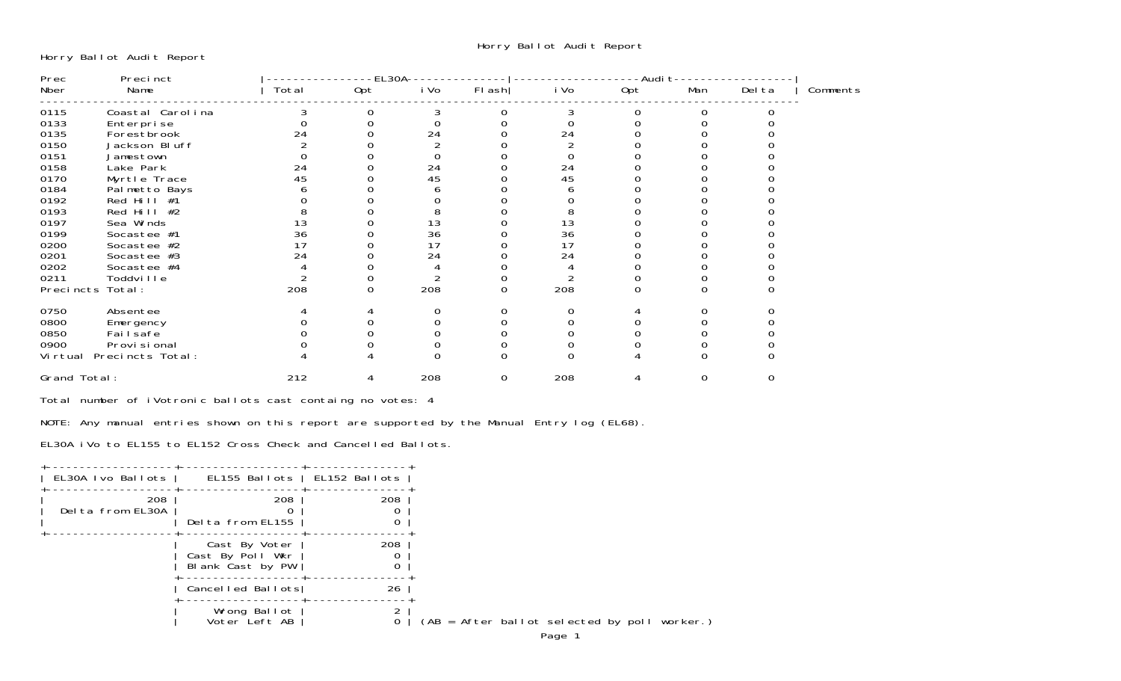Horry Ballot Audit Report

| Prec         | Precinct         |       | EL30A |          |          |          | -Audi t |     |        |          |
|--------------|------------------|-------|-------|----------|----------|----------|---------|-----|--------|----------|
| Nber         | Name             | Total | Opt   | i Vo     | $FI$ ash | i Vo     | Opt     | Man | Del ta | Comments |
| 0115         | Coastal Carolina | 3     | 0     | 3        |          | 3        |         |     |        |          |
| 0133         | Enterprise       |       |       |          |          |          |         |     |        |          |
| 0135         | Forestbrook      | 24    |       | 24       |          | 24       |         |     |        |          |
| 0150         | Jackson Bluff    |       |       |          |          |          |         |     |        |          |
| 0151         | Jamestown        |       |       |          |          |          |         |     |        |          |
| 0158         | Lake Park        | 24    |       | 24       |          | 24       |         |     |        |          |
| 0170         | Myrtle Trace     | 45    |       | 45       |          | 45       |         |     |        |          |
| 0184         | Palmetto Bays    |       |       |          |          |          |         |     |        |          |
| 0192         | Red Hill #1      |       |       |          |          |          |         |     |        |          |
| 0193         | Red Hill $#2$    |       |       | 8        |          | 8        |         |     |        |          |
| 0197         | Sea Winds        | 13    |       | 13       |          | 13<br>36 |         |     |        |          |
| 0199         | Socastee #1      | 36    |       | 36       |          |          |         |     |        |          |
| 0200         | Socastee #2      | 17    |       | 17       |          | 17       |         |     |        |          |
| 0201         | Socastee #3      | 24    |       | 24       |          | 24       |         |     |        |          |
| 0202         | Socastee #4      |       |       |          |          |          |         |     |        |          |
| 0211         | Toddville        |       |       |          |          |          |         |     |        |          |
|              | Precincts Total: | 208   | 0     | 208      | $\Omega$ | 208      |         |     |        |          |
| 0750         | Absentee         |       |       | 0        |          |          |         |     |        |          |
| 0800         | Emergency        |       |       | $\Omega$ |          |          |         |     |        |          |
| 0850         | Failsafe         |       |       |          |          |          |         |     |        |          |
| 0900         | Provi si onal    |       |       |          |          |          |         |     |        |          |
| Vi rtual     | Precincts Total: |       |       |          |          |          |         |     |        |          |
| Grand Total: |                  | 212   | 4     | 208      | 0        | 208      |         |     |        |          |
|              |                  |       |       |          |          |          |         |     |        |          |

Total number of iVotronic ballots cast containg no votes: 4

NOTE: Any manual entries shown on this report are supported by the Manual Entry log (EL68).

EL30A iVo to EL155 to EL152 Cross Check and Cancelled Ballots.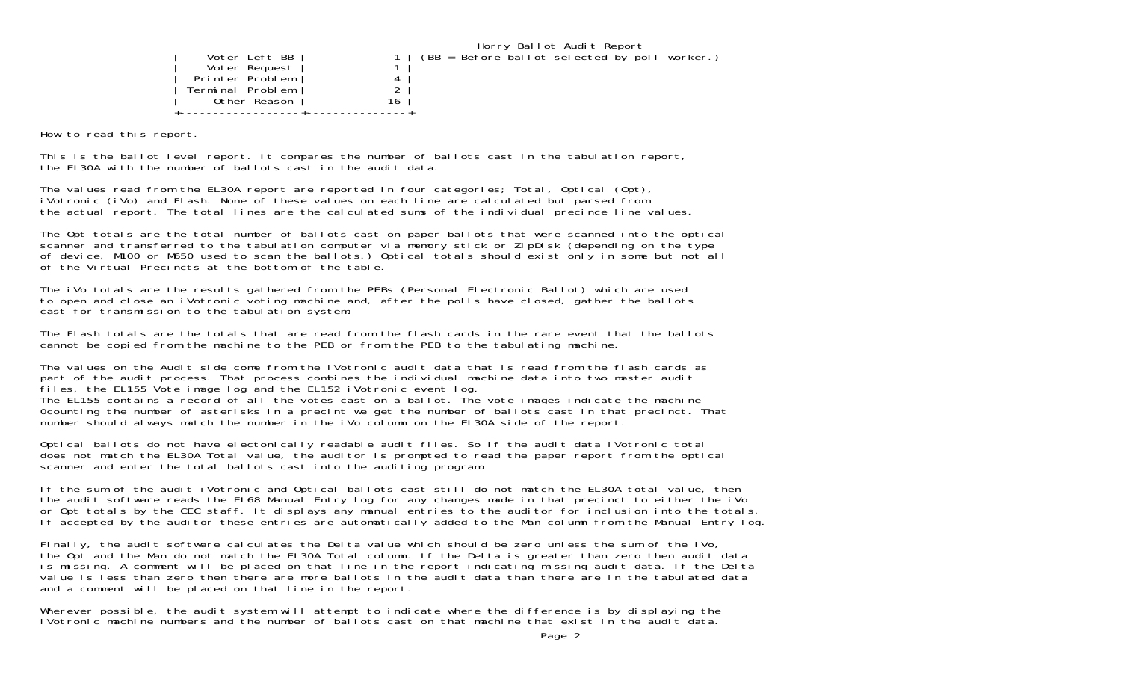|                  |    | Horry Ballot Audit Report                     |
|------------------|----|-----------------------------------------------|
| Voter Left BB    |    | (BB = Before ballot selected by poll worker.) |
| Voter Request    |    |                                               |
| Printer Problem  |    |                                               |
| Terminal Problem |    |                                               |
| Other Reason     | 16 |                                               |
|                  |    |                                               |

How to read this report.

This is the ballot level report. It compares the number of ballots cast in the tabulation report, the EL30A with the number of ballots cast in the audit data.

The values read from the EL30A report are reported in four categories; Total, Optical (Opt), iVotronic (iVo) and Flash. None of these values on each line are calculated but parsed from the actual report. The total lines are the calculated sums of the individual precince line values.

The Opt totals are the total number of ballots cast on paper ballots that were scanned into the optical scanner and transferred to the tabulation computer via memory stick or ZipDisk (depending on the type of device, M100 or M650 used to scan the ballots.) Optical totals should exist only in some but not all of the Virtual Precincts at the bottom of the table.

The iVo totals are the results gathered from the PEBs (Personal Electronic Ballot) which are used to open and close an iVotronic voting machine and, after the polls have closed, gather the ballots cast for transmission to the tabulation system.

The Flash totals are the totals that are read from the flash cards in the rare event that the ballots cannot be copied from the machine to the PEB or from the PEB to the tabulating machine.

The values on the Audit side come from the iVotronic audit data that is read from the flash cards as part of the audit process. That process combines the individual machine data into two master audit files, the EL155 Vote image log and the EL152 iVotronic event log. The EL155 contains a record of all the votes cast on a ballot. The vote images indicate the machine 0counting the number of asterisks in a precint we get the number of ballots cast in that precinct. That number should always match the number in the iVo column on the EL30A side of the report.

Optical ballots do not have electonically readable audit files. So if the audit data iVotronic total does not match the EL30A Total value, the auditor is prompted to read the paper report from the optical scanner and enter the total ballots cast into the auditing program.

If the sum of the audit iVotronic and Optical ballots cast still do not match the EL30A total value, then the audit software reads the EL68 Manual Entry log for any changes made in that precinct to either the iVo or Opt totals by the CEC staff. It displays any manual entries to the auditor for inclusion into the totals. If accepted by the auditor these entries are automatically added to the Man column from the Manual Entry log.

Finally, the audit software calculates the Delta value which should be zero unless the sum of the iVo, the Opt and the Man do not match the EL30A Total column. If the Delta is greater than zero then audit data is missing. A comment will be placed on that line in the report indicating missing audit data. If the Delta value is less than zero then there are more ballots in the audit data than there are in the tabulated data and a comment will be placed on that line in the report.

Wherever possible, the audit system will attempt to indicate where the difference is by displaying the iVotronic machine numbers and the number of ballots cast on that machine that exist in the audit data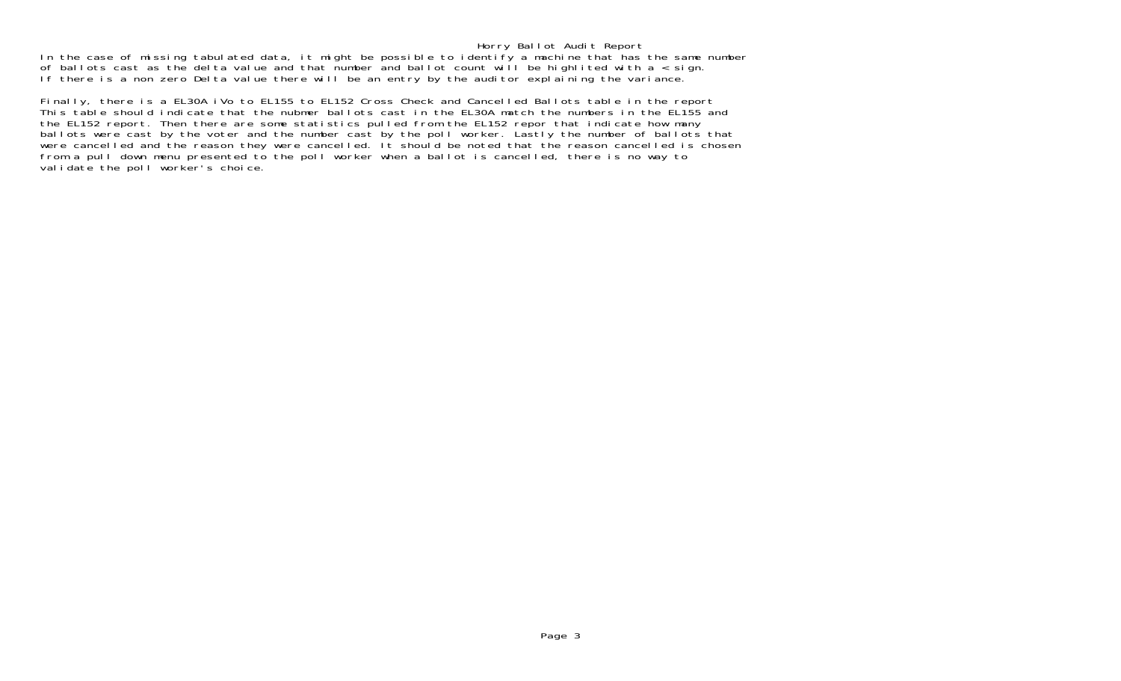## Horry Ballot Audit Report

In the case of missing tabulated data, it might be possible to identify a machine that has the same number of ballots cast as the delta value and that number and ballot count will be highlited with a < sign. If there is a non zero Delta value there will be an entry by the auditor explaining the variance.

Finally, there is a EL30A iVo to EL155 to EL152 Cross Check and Cancelled Ballots table in the report This table should indicate that the nubmer ballots cast in the EL30A match the numbers in the EL155 and the EL152 report. Then there are some statistics pulled from the EL152 repor that indicate how many ballots were cast by the voter and the number cast by the poll worker. Lastly the number of ballots that were cancelled and the reason they were cancelled. It should be noted that the reason cancelled is chosen from a pull down menu presented to the poll worker when a ballot is cancelled, there is no way to validate the poll worker's choice.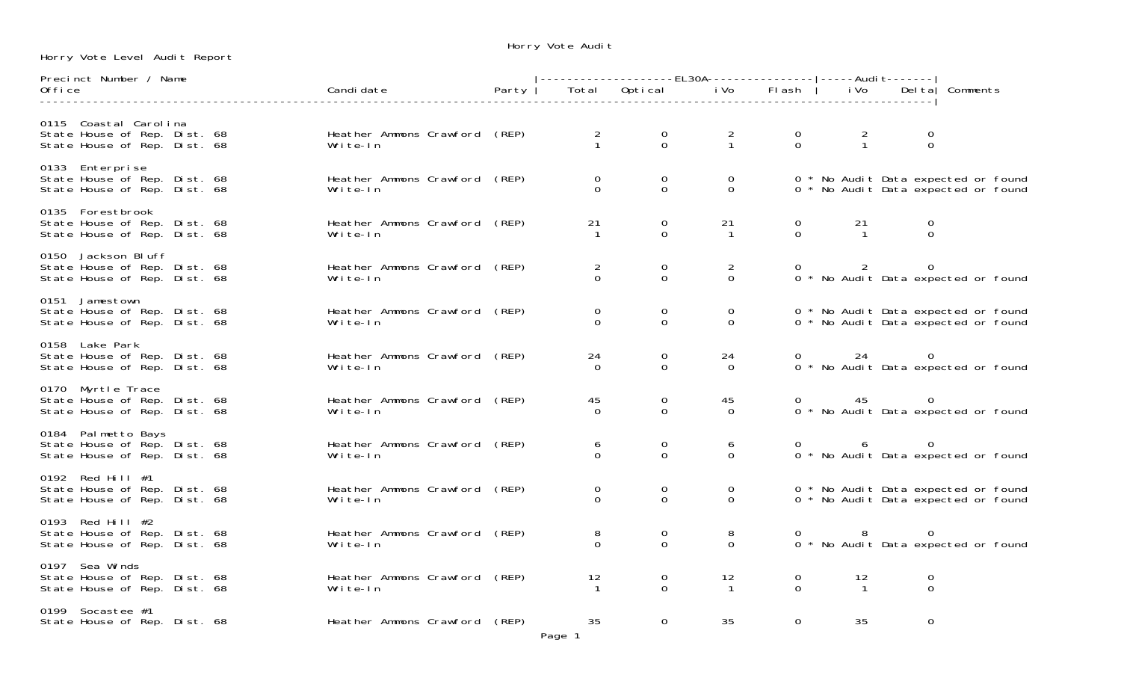Horry Vote Level Audit Report

Horry Vote Audit

| Precinct Number / Name                                                                |                                           |       |                            |                                              |                            |                                  |                      |                                  |                                                                            |
|---------------------------------------------------------------------------------------|-------------------------------------------|-------|----------------------------|----------------------------------------------|----------------------------|----------------------------------|----------------------|----------------------------------|----------------------------------------------------------------------------|
| 0ffice                                                                                | Candi date                                | Party |                            | Total Optical iVo Flash                      |                            |                                  | i Vo                 |                                  | Del ta   Comments                                                          |
| 0115 Coastal Carolina<br>State House of Rep. Dist. 68<br>State House of Rep. Dist. 68 | Heather Ammons Crawford (REP)<br>Write-In |       | $\frac{2}{1}$              | $\begin{matrix}0\\0\end{matrix}$             | $\frac{2}{1}$              | $\begin{matrix}0\\0\end{matrix}$ | $\frac{2}{1}$        | $\begin{matrix}0\\0\end{matrix}$ |                                                                            |
| 0133 Enterprise<br>State House of Rep. Dist. 68<br>State House of Rep. Dist. 68       | Heather Ammons Crawford (REP)<br>Write-In |       | $\mathbf 0$<br>$\Omega$    | $_{0}^{0}$                                   | $\mathbf 0$<br>$\Omega$    |                                  |                      |                                  | 0 * No Audit Data expected or found<br>0 * No Audit Data expected or found |
| 0135 Forestbrook<br>State House of Rep. Dist. 68<br>State House of Rep. Dist. 68      | Heather Ammons Crawford (REP)<br>Write-In |       | 21                         | $\mathsf O$<br>$\Omega$                      | 21<br>$\overline{1}$       | $\mathsf{O}$<br>$\Omega$         | 21<br>$\overline{1}$ | $\boldsymbol{0}$<br>$\Omega$     |                                                                            |
| 0150 Jackson Bluff<br>State House of Rep. Dist. 68<br>State House of Rep. Dist. 68    | Heather Ammons Crawford (REP)<br>Write-In |       | $\overline{2}$<br>$\Omega$ | $\mathbf 0$<br>$\Omega$                      | $\overline{2}$<br>$\Omega$ |                                  | $\overline{2}$       | 0                                | 0 * No Audit Data expected or found                                        |
| 0151 Jamestown<br>State House of Rep. Dist. 68<br>State House of Rep. Dist. 68        | Heather Ammons Crawford (REP)<br>Write-In |       | $\mathbf 0$<br>$\Omega$    | $\mathbf 0$<br>$\overline{O}$                | 0<br>$\overline{0}$        |                                  |                      |                                  | 0 * No Audit Data expected or found<br>0 * No Audit Data expected or found |
| 0158 Lake Park<br>State House of Rep. Dist. 68<br>State House of Rep. Dist. 68        | Heather Ammons Crawford (REP)<br>Write-In |       | 24<br>$\Omega$             | $\mathbf 0$<br>$\overline{0}$                | 24<br>$\Omega$             |                                  | 24                   | $\overline{0}$                   | $0 *$ No Audit Data expected or found                                      |
| 0170 Myrtle Trace<br>State House of Rep. Dist. 68<br>State House of Rep. Dist. 68     | Heather Ammons Crawford (REP)<br>Write-In |       | 45<br>$\Omega$             | $\mathsf{O}\xspace$<br>$\mathbf 0$           | 45<br>$\Omega$             |                                  | 45                   | $\overline{0}$                   | 0 * No Audit Data expected or found                                        |
| 0184 Palmetto Bays<br>State House of Rep. Dist. 68<br>State House of Rep. Dist. 68    | Heather Ammons Crawford (REP)<br>Write-In |       | 6<br>$\Omega$              | $\begin{smallmatrix} 0\\0 \end{smallmatrix}$ | 6<br>$\overline{0}$        |                                  | 6 <sup>6</sup>       | $\overline{0}$                   | 0 * No Audit Data expected or found                                        |
| 0192 Red Hill #1<br>State House of Rep. Dist. 68<br>State House of Rep. Dist. 68      | Heather Ammons Crawford (REP)<br>Write-In |       | 0<br>$\Omega$              | $\mathbf 0$<br>$\overline{0}$                | 0<br>$\Omega$              |                                  |                      |                                  | 0 * No Audit Data expected or found<br>0 * No Audit Data expected or found |
| 0193 Red Hill #2<br>State House of Rep. Dist. 68<br>State House of Rep. Dist. 68      | Heather Ammons Crawford (REP)<br>Write-In |       | 8<br>$\Omega$              | $\overline{0}$<br>$\overline{0}$             | 8<br>$\Omega$              |                                  | - 8                  | $\overline{0}$                   | 0 * No Audit Data expected or found                                        |
| 0197 Sea Winds<br>State House of Rep. Dist. 68<br>State House of Rep. Dist. 68        | Heather Ammons Crawford (REP)<br>Write-In |       | 12                         | $\mathbf 0$<br>$\Omega$                      | 12<br>$\mathbf{1}$         | $\overline{0}$<br>$\Omega$       | 12<br>$\overline{1}$ | $\mathbf 0$<br>$\overline{O}$    |                                                                            |
| 0199 Socastee #1<br>State House of Rep. Dist. 68                                      | Heather Ammons Crawford (REP)             |       | 35<br>$D = 1$              | $\mathbf 0$                                  | 35                         | 0                                | 35                   | $\mathbf 0$                      |                                                                            |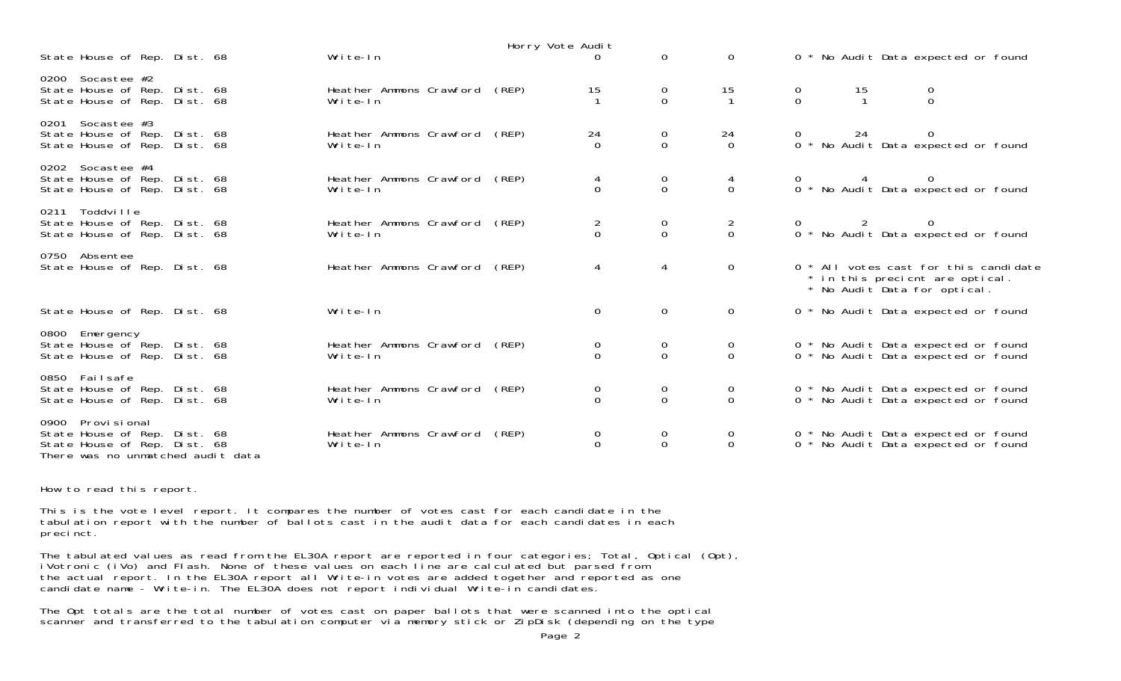|                                                                                                                            |  |                                     |       | Horry Vote Audit           |                            |                                        |               |    |                                                                                                          |
|----------------------------------------------------------------------------------------------------------------------------|--|-------------------------------------|-------|----------------------------|----------------------------|----------------------------------------|---------------|----|----------------------------------------------------------------------------------------------------------|
| State House of Rep. Dist. 68                                                                                               |  | Write-In                            |       |                            | $\Omega$                   | $\Omega$                               |               |    | 0 * No Audit Data expected or found                                                                      |
| 0200 Socastee #2<br>State House of Rep. Dist. 68<br>State House of Rep. Dist. 68                                           |  | Heather Ammons Crawford<br>Write-In | (REP) | 15                         | $\Omega$                   | $\begin{array}{c} 15 \\ 1 \end{array}$ | $\frac{0}{0}$ | 15 | $\Omega$                                                                                                 |
| 0201 Socastee #3<br>State House of Rep. Dist. 68<br>State House of Rep. Dist. 68                                           |  | Heather Ammons Crawford<br>Write-In | (REP) | 24<br>$\Omega$             | 0<br>$\Omega$              | $\begin{matrix} 24 \\ 0 \end{matrix}$  |               | 24 | 0 * No Audit Data expected or found                                                                      |
| 0202 Socastee #4<br>State House of Rep. Dist. 68<br>State House of Rep. Dist. 68                                           |  | Heather Ammons Crawford<br>Write-In | (REP) | 4<br>$\Omega$              | $\overline{0}$<br>$\Omega$ | 4<br>$\Omega$                          |               |    | $0 *$ No Audit Data expected or found                                                                    |
| 0211 Toddville<br>State House of Rep. Dist. 68<br>State House of Rep. Dist. 68                                             |  | Heather Ammons Crawford<br>Write-In | (REP) | $\overline{2}$<br>$\Omega$ | 0<br>$\mathbf 0$           | $\frac{2}{0}$                          |               |    | $0 * No$ Audit Data expected or found                                                                    |
| 0750 Absentee<br>State House of Rep. Dist. 68                                                                              |  | Heather Ammons Crawford             | (REP) | 4                          | $\overline{4}$             | $\Omega$                               |               |    | 0 * All votes cast for this candidate<br>* in this precient are optical.<br>* No Audit Data for optical. |
| State House of Rep. Dist. 68                                                                                               |  | Write-In                            |       | $\Omega$                   | $\mathbf 0$                | $\Omega$                               |               |    | 0 * No Audit Data expected or found                                                                      |
| 0800 Emergency<br>State House of Rep. Dist. 68<br>State House of Rep. Dist. 68                                             |  | Heather Ammons Crawford<br>Write-In | (REP) | 0<br>$\Omega$              | 0<br>$\Omega$              | $\overline{0}$<br>$\Omega$             |               |    | 0 * No Audit Data expected or found<br>0 * No Audit Data expected or found                               |
| 0850 Failsafe<br>State House of Rep. Dist. 68<br>State House of Rep. Dist. 68                                              |  | Heather Ammons Crawford<br>Write-In | (REP) | 0<br>$\Omega$              | 0<br>$\Omega$              | $\sigma$<br>$\Omega$                   |               |    | 0 * No Audit Data expected or found<br>0 * No Audit Data expected or found                               |
| Provi si onal<br>0900<br>State House of Rep. Dist. 68<br>State House of Rep. Dist. 68<br>There was no unmatched audit data |  | Heather Ammons Crawford<br>Write-In | (REP) | 0<br>$\Omega$              | 0<br>$\mathbf 0$           | $\overline{0}$<br>$\Omega$             |               |    | 0 * No Audit Data expected or found<br>0 * No Audit Data expected or found                               |

How to read this report.

This is the vote level report. It compares the number of votes cast for each candidate in the tabulation report with the number of ballots cast in the audit data for each candidates in each precinct.

The tabulated values as read from the EL30A report are reported in four categories; Total, Optical (Opt), iVotronic (iVo) and Flash. None of these values on each line are calculated but parsed from the actual report. In the EL30A report all Write-in votes are added together and reported as one candidate name - Write-in. The EL30A does not report individual Write-in candidates

The Opt totals are the total number of votes cast on paper ballots that were scanned into the optical scanner and transferred to the tabulation computer via memory stick or ZipDisk (depending on the type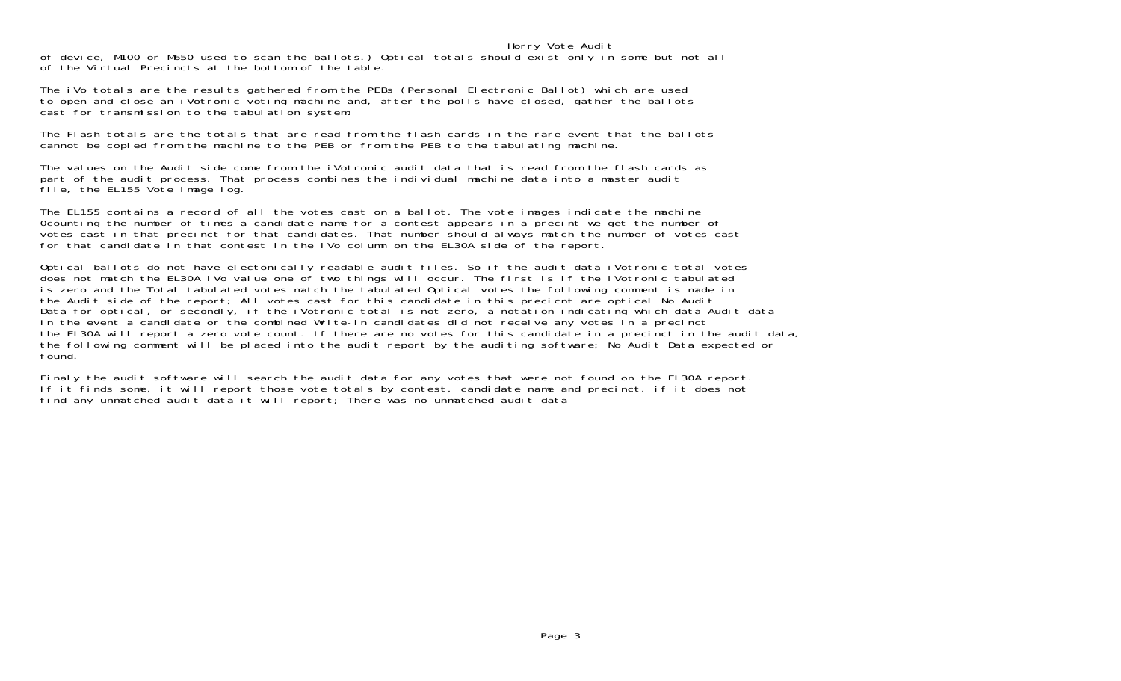## Horry Vote Audit

of device, M100 or M650 used to scan the ballots.) Optical totals should exist only in some but not all of the Virtual Precincts at the bottom of the table.

The iVo totals are the results gathered from the PEBs (Personal Electronic Ballot) which are used to open and close an iVotronic voting machine and, after the polls have closed, gather the ballots cast for transmission to the tabulation system.

The Flash totals are the totals that are read from the flash cards in the rare event that the ballots cannot be copied from the machine to the PEB or from the PEB to the tabulating machine.

The values on the Audit side come from the iVotronic audit data that is read from the flash cards as part of the audit process. That process combines the individual machine data into a master audit file, the EL155 Vote image log.

The EL155 contains a record of all the votes cast on a ballot. The vote images indicate the machine 0counting the number of times a candidate name for a contest appears in a precint we get the number of votes cast in that precinct for that candidates. That number should always match the number of votes cast for that candidate in that contest in the iVo column on the EL30A side of the report.

Optical ballots do not have electonically readable audit files. So if the audit data iVotronic total votes does not match the EL30A iVo value one of two things will occur. The first is if the iVotronic tabulated is zero and the Total tabulated votes match the tabulated Optical votes the following comment is made in the Audit side of the report; All votes cast for this candidate in this precient are optical No Audit Data for optical, or secondly, if the iVotronic total is not zero, a notation indicating which data Audit data In the event a candidate or the combined Write-in candidates did not receive any votes in a precinct the EL30A will report a zero vote count. If there are no votes for this candidate in a precinct in the audit data, the following comment will be placed into the audit report by the auditing software; No Audit Data expected or found.

Finaly the audit software will search the audit data for any votes that were not found on the EL30A report. If it finds some, it will report those vote totals by contest, candidate name and precinct. if it does not find any unmatched audit data it will report; There was no unmatched audit data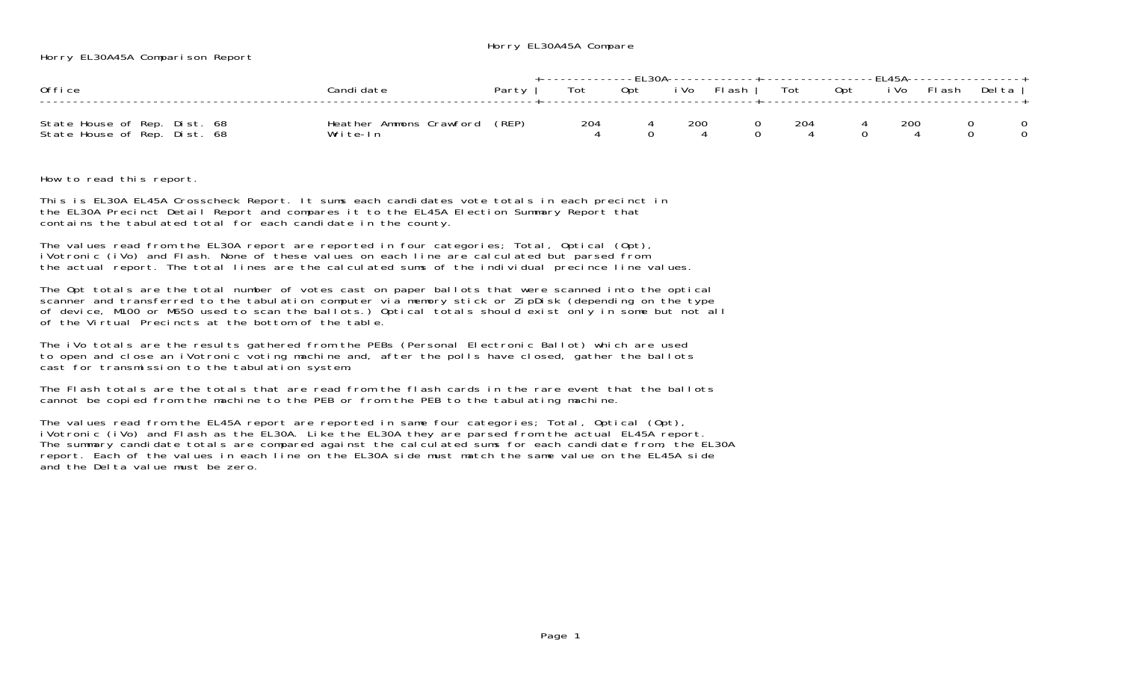Horry EL30A45A Compare

Horry EL30A45A Comparison Report

| Office                                                       | Candi date                                | Party 1 | +-------------FL30A-------------+------------------FL45A-----------------+<br>Tot | Opt iVo Flash   Tot Opt iVo Flash |      |          |       |     | Delta I |
|--------------------------------------------------------------|-------------------------------------------|---------|-----------------------------------------------------------------------------------|-----------------------------------|------|----------|-------|-----|---------|
| State House of Rep. Dist. 68<br>State House of Rep. Dist. 68 | Heather Ammons Crawford (REP)<br>Write-In |         | 204                                                                               |                                   | -200 | $\Omega$ | - 204 | 200 |         |

How to read this report.

This is EL30A EL45A Crosscheck Report. It sums each candidates vote totals in each precinct in the EL30A Precinct Detail Report and compares it to the EL45A Election Summary Report that contains the tabulated total for each candidate in the county.

The values read from the EL30A report are reported in four categories; Total, Optical (Opt), iVotronic (iVo) and Flash. None of these values on each line are calculated but parsed from the actual report. The total lines are the calculated sums of the individual precince line values.

The Opt totals are the total number of votes cast on paper ballots that were scanned into the optical scanner and transferred to the tabulation computer via memory stick or ZipDisk (depending on the type of device, M100 or M650 used to scan the ballots.) Optical totals should exist only in some but not all of the Virtual Precincts at the bottom of the table.

The iVo totals are the results gathered from the PEBs (Personal Electronic Ballot) which are used to open and close an iVotronic voting machine and, after the polls have closed, gather the ballots cast for transmission to the tabulation system.

The Flash totals are the totals that are read from the flash cards in the rare event that the ballotscannot be copied from the machine to the PEB or from the PEB to the tabulating machine.

The values read from the EL45A report are reported in same four categories; Total, Optical (Opt), iVotronic (iVo) and Flash as the EL30A. Like the EL30A they are parsed from the actual EL45A report. The summary candidate totals are compared against the calculated sums for each candidate from, the EL30A report. Each of the values in each line on the EL30A side must match the same value on the EL45A side and the Delta value must be zero.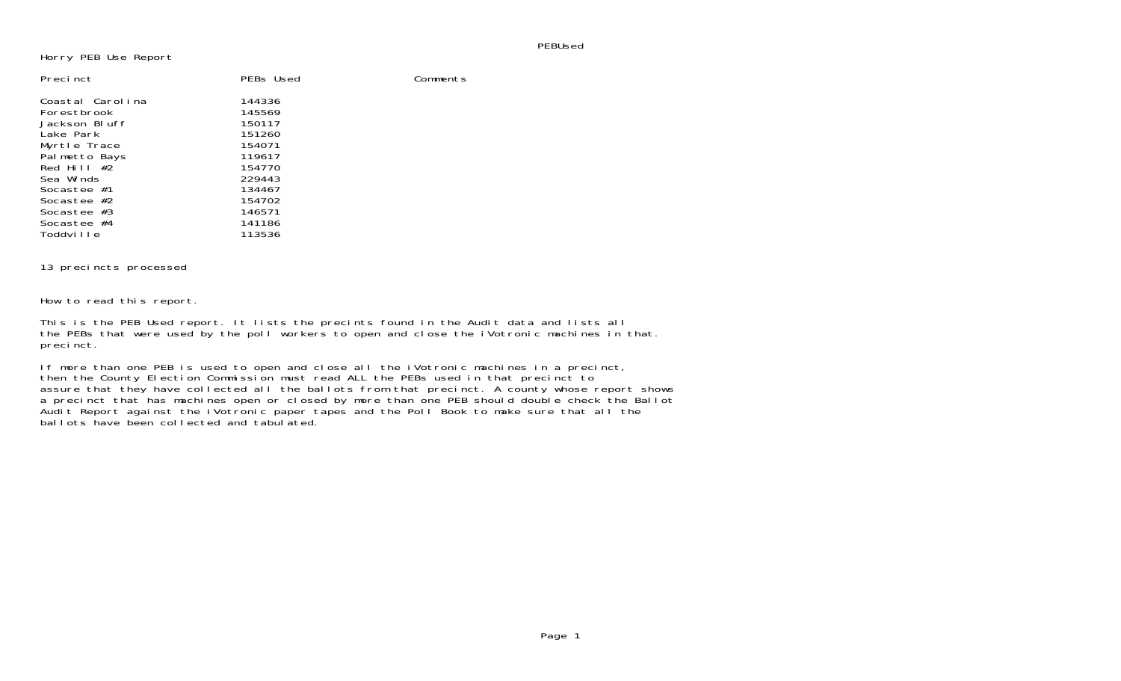PEBUsed

Horry PEB Use Report

| PEBs Used | Comments |
|-----------|----------|
| 144336    |          |
| 145569    |          |
| 150117    |          |
| 151260    |          |
| 154071    |          |
| 119617    |          |
| 154770    |          |
| 229443    |          |
| 134467    |          |
| 154702    |          |
| 146571    |          |
| 141186    |          |
| 113536    |          |
|           |          |

## 13 precincts processed

How to read this report.

This is the PEB Used report. It lists the precints found in the Audit data and lists all the PEBs that were used by the poll workers to open and close the iVotronic machines in that. precinct.

If more than one PEB is used to open and close all the iVotronic machines in a precinct, then the County Election Commission must read ALL the PEBs used in that precinct to assure that they have collected all the ballots from that precinct. A county whose report shows a precinct that has machines open or closed by more than one PEB should double check the Ballot Audit Report against the iVotronic paper tapes and the Poll Book to make sure that all the ballots have been collected and tabulated.